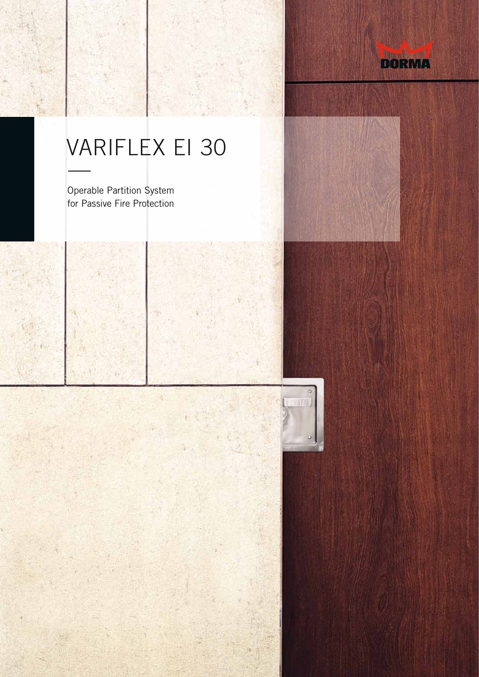

## VARIFLEX EI 30

Operable Partition System for Passive Fire Protection



ä